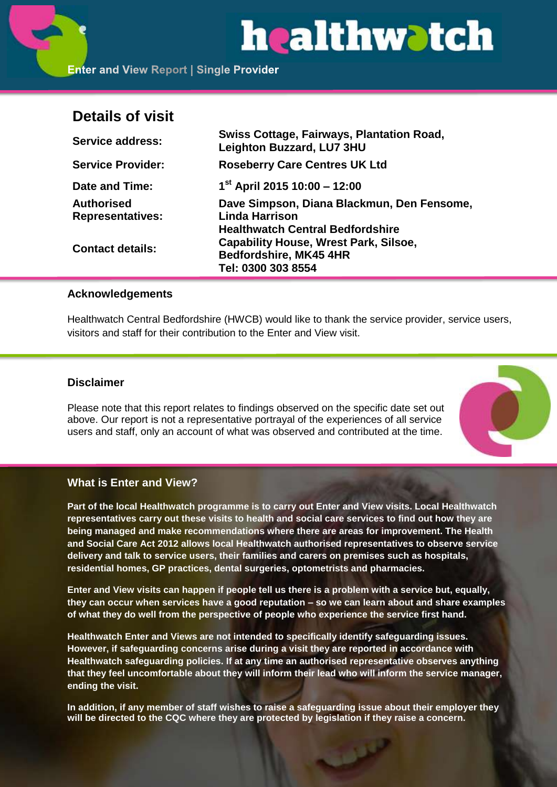# healthwatch

**Enter and View Report | Single Provider** 

# **Details of visit**

| <b>Service address:</b>                      | <b>Swiss Cottage, Fairways, Plantation Road,</b><br><b>Leighton Buzzard, LU7 3HU</b>    |
|----------------------------------------------|-----------------------------------------------------------------------------------------|
| <b>Service Provider:</b>                     | <b>Roseberry Care Centres UK Ltd</b>                                                    |
| Date and Time:                               | $1st$ April 2015 10:00 - 12:00                                                          |
| <b>Authorised</b><br><b>Representatives:</b> | Dave Simpson, Diana Blackmun, Den Fensome,<br><b>Linda Harrison</b>                     |
| <b>Contact details:</b>                      | <b>Healthwatch Central Bedfordshire</b><br><b>Capability House, Wrest Park, Silsoe,</b> |
|                                              | Bedfordshire, MK45 4HR<br>Tel: 0300 303 8554                                            |

#### **Acknowledgements**

Healthwatch Central Bedfordshire (HWCB) would like to thank the service provider, service users, visitors and staff for their contribution to the Enter and View visit.

# **Disclaimer**

Please note that this report relates to findings observed on the specific date set out above. Our report is not a representative portrayal of the experiences of all service users and staff, only an account of what was observed and contributed at the time.



# **What is Enter and View?**

**Part of the local Healthwatch programme is to carry out Enter and View visits. Local Healthwatch representatives carry out these visits to health and social care services to find out how they are being managed and make recommendations where there are areas for improvement. The Health and Social Care Act 2012 allows local Healthwatch authorised representatives to observe service delivery and talk to service users, their families and carers on premises such as hospitals, residential homes, GP practices, dental surgeries, optometrists and pharmacies.** 

**Enter and View visits can happen if people tell us there is a problem with a service but, equally, they can occur when services have a good reputation – so we can learn about and share examples of what they do well from the perspective of people who experience the service first hand.**

**Healthwatch Enter and Views are not intended to specifically identify safeguarding issues. However, if safeguarding concerns arise during a visit they are reported in accordance with Healthwatch safeguarding policies. If at any time an authorised representative observes anything that they feel uncomfortable about they will inform their lead who will inform the service manager, ending the visit.** 

**In addition, if any member of staff wishes to raise a safeguarding issue about their employer they will be directed to the CQC where they are protected by legislation if they raise a concern.**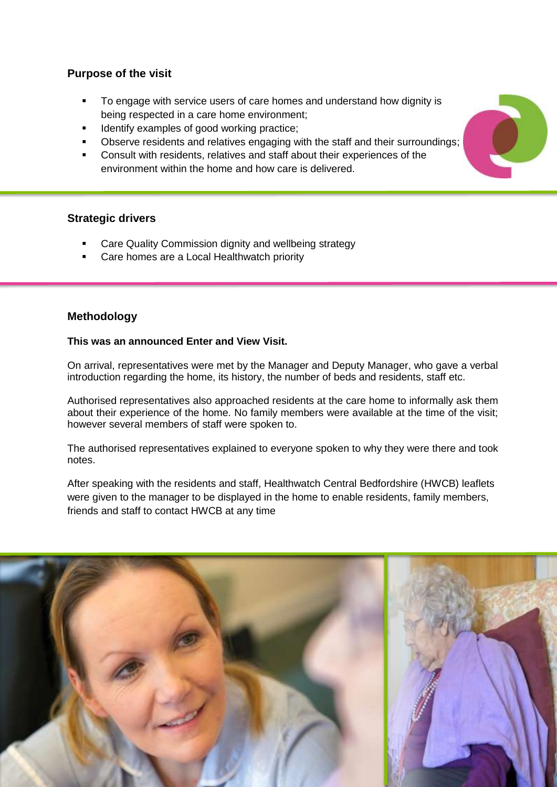# **Purpose of the visit**

- To engage with service users of care homes and understand how dignity is being respected in a care home environment;
- Identify examples of good working practice;
- Observe residents and relatives engaging with the staff and their surroundings;
- Consult with residents, relatives and staff about their experiences of the environment within the home and how care is delivered.

# **Strategic drivers**

- Care Quality Commission dignity and wellbeing strategy
- Care homes are a Local Healthwatch priority

# **Methodology**

#### **This was an announced Enter and View Visit.**

On arrival, representatives were met by the Manager and Deputy Manager, who gave a verbal introduction regarding the home, its history, the number of beds and residents, staff etc.

Authorised representatives also approached residents at the care home to informally ask them about their experience of the home. No family members were available at the time of the visit; however several members of staff were spoken to.

The authorised representatives explained to everyone spoken to why they were there and took notes.

After speaking with the residents and staff, Healthwatch Central Bedfordshire (HWCB) leaflets were given to the manager to be displayed in the home to enable residents, family members, friends and staff to contact HWCB at any time



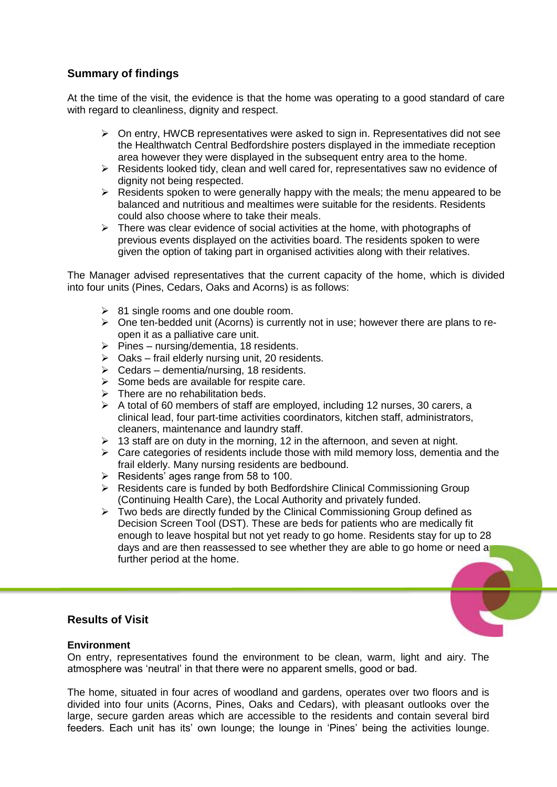# **Summary of findings**

At the time of the visit, the evidence is that the home was operating to a good standard of care with regard to cleanliness, dignity and respect.

- $\triangleright$  On entry, HWCB representatives were asked to sign in. Representatives did not see the Healthwatch Central Bedfordshire posters displayed in the immediate reception area however they were displayed in the subsequent entry area to the home.
- $\triangleright$  Residents looked tidy, clean and well cared for, representatives saw no evidence of dignity not being respected.
- $\triangleright$  Residents spoken to were generally happy with the meals; the menu appeared to be balanced and nutritious and mealtimes were suitable for the residents. Residents could also choose where to take their meals.
- $\triangleright$  There was clear evidence of social activities at the home, with photographs of previous events displayed on the activities board. The residents spoken to were given the option of taking part in organised activities along with their relatives.

The Manager advised representatives that the current capacity of the home, which is divided into four units (Pines, Cedars, Oaks and Acorns) is as follows:

- $\geq$  81 single rooms and one double room.
- $\triangleright$  One ten-bedded unit (Acorns) is currently not in use; however there are plans to reopen it as a palliative care unit.
- $\triangleright$  Pines nursing/dementia, 18 residents.
- $\triangleright$  Oaks frail elderly nursing unit, 20 residents.
- $\triangleright$  Cedars dementia/nursing, 18 residents.
- $\triangleright$  Some beds are available for respite care.
- $\triangleright$  There are no rehabilitation beds.
- $\triangleright$  A total of 60 members of staff are employed, including 12 nurses, 30 carers, a clinical lead, four part-time activities coordinators, kitchen staff, administrators, cleaners, maintenance and laundry staff.
- $\geq 13$  staff are on duty in the morning, 12 in the afternoon, and seven at night.
- $\triangleright$  Care categories of residents include those with mild memory loss, dementia and the frail elderly. Many nursing residents are bedbound.
- $\triangleright$  Residents' ages range from 58 to 100.
- $\triangleright$  Residents care is funded by both Bedfordshire Clinical Commissioning Group (Continuing Health Care), the Local Authority and privately funded.
- $\triangleright$  Two beds are directly funded by the Clinical Commissioning Group defined as Decision Screen Tool (DST). These are beds for patients who are medically fit enough to leave hospital but not yet ready to go home. Residents stay for up to 28 days and are then reassessed to see whether they are able to go home or need a further period at the home.

#### **Results of Visit**

#### **Environment**

On entry, representatives found the environment to be clean, warm, light and airy. The atmosphere was 'neutral' in that there were no apparent smells, good or bad.

The home, situated in four acres of woodland and gardens, operates over two floors and is divided into four units (Acorns, Pines, Oaks and Cedars), with pleasant outlooks over the large, secure garden areas which are accessible to the residents and contain several bird feeders. Each unit has its' own lounge; the lounge in 'Pines' being the activities lounge.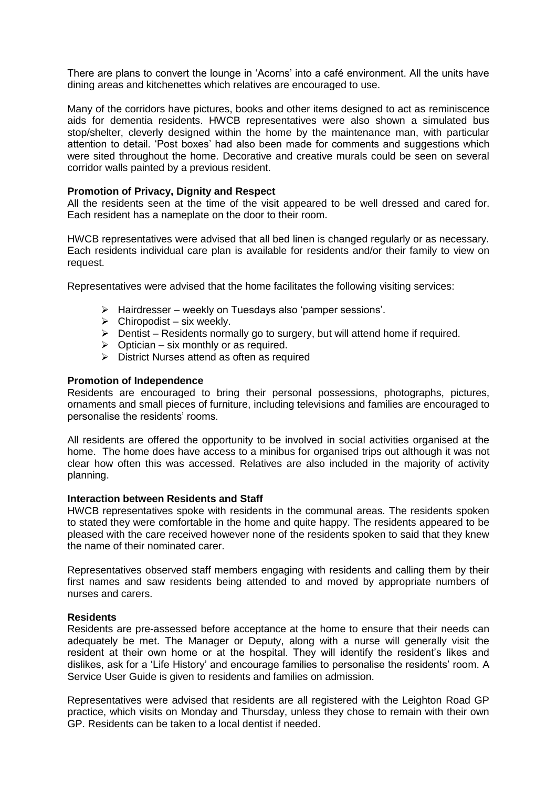There are plans to convert the lounge in 'Acorns' into a café environment. All the units have dining areas and kitchenettes which relatives are encouraged to use.

Many of the corridors have pictures, books and other items designed to act as reminiscence aids for dementia residents. HWCB representatives were also shown a simulated bus stop/shelter, cleverly designed within the home by the maintenance man, with particular attention to detail. 'Post boxes' had also been made for comments and suggestions which were sited throughout the home. Decorative and creative murals could be seen on several corridor walls painted by a previous resident.

#### **Promotion of Privacy, Dignity and Respect**

All the residents seen at the time of the visit appeared to be well dressed and cared for. Each resident has a nameplate on the door to their room.

HWCB representatives were advised that all bed linen is changed regularly or as necessary. Each residents individual care plan is available for residents and/or their family to view on request.

Representatives were advised that the home facilitates the following visiting services:

- $\triangleright$  Hairdresser weekly on Tuesdays also 'pamper sessions'.
- $\triangleright$  Chiropodist six weekly.
- $\triangleright$  Dentist Residents normally go to surgery, but will attend home if required.
- $\triangleright$  Optician six monthly or as required.
- $\triangleright$  District Nurses attend as often as required

#### **Promotion of Independence**

Residents are encouraged to bring their personal possessions, photographs, pictures, ornaments and small pieces of furniture, including televisions and families are encouraged to personalise the residents' rooms.

All residents are offered the opportunity to be involved in social activities organised at the home. The home does have access to a minibus for organised trips out although it was not clear how often this was accessed. Relatives are also included in the majority of activity planning.

#### **Interaction between Residents and Staff**

HWCB representatives spoke with residents in the communal areas. The residents spoken to stated they were comfortable in the home and quite happy. The residents appeared to be pleased with the care received however none of the residents spoken to said that they knew the name of their nominated carer.

Representatives observed staff members engaging with residents and calling them by their first names and saw residents being attended to and moved by appropriate numbers of nurses and carers.

#### **Residents**

Residents are pre-assessed before acceptance at the home to ensure that their needs can adequately be met. The Manager or Deputy, along with a nurse will generally visit the resident at their own home or at the hospital. They will identify the resident's likes and dislikes, ask for a 'Life History' and encourage families to personalise the residents' room. A Service User Guide is given to residents and families on admission.

Representatives were advised that residents are all registered with the Leighton Road GP practice, which visits on Monday and Thursday, unless they chose to remain with their own GP. Residents can be taken to a local dentist if needed.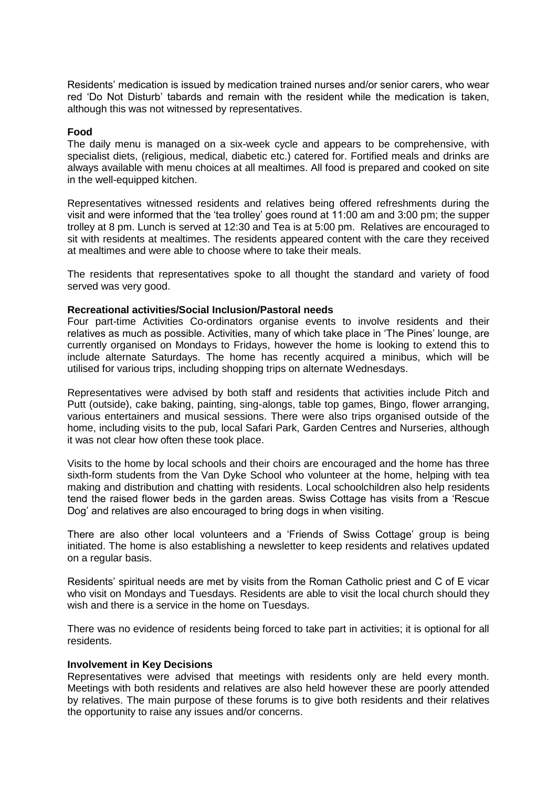Residents' medication is issued by medication trained nurses and/or senior carers, who wear red 'Do Not Disturb' tabards and remain with the resident while the medication is taken, although this was not witnessed by representatives.

#### **Food**

The daily menu is managed on a six-week cycle and appears to be comprehensive, with specialist diets, (religious, medical, diabetic etc.) catered for. Fortified meals and drinks are always available with menu choices at all mealtimes. All food is prepared and cooked on site in the well-equipped kitchen.

Representatives witnessed residents and relatives being offered refreshments during the visit and were informed that the 'tea trolley' goes round at 11:00 am and 3:00 pm; the supper trolley at 8 pm. Lunch is served at 12:30 and Tea is at 5:00 pm. Relatives are encouraged to sit with residents at mealtimes. The residents appeared content with the care they received at mealtimes and were able to choose where to take their meals.

The residents that representatives spoke to all thought the standard and variety of food served was very good.

#### **Recreational activities/Social Inclusion/Pastoral needs**

Four part-time Activities Co-ordinators organise events to involve residents and their relatives as much as possible. Activities, many of which take place in 'The Pines' lounge, are currently organised on Mondays to Fridays, however the home is looking to extend this to include alternate Saturdays. The home has recently acquired a minibus, which will be utilised for various trips, including shopping trips on alternate Wednesdays.

Representatives were advised by both staff and residents that activities include Pitch and Putt (outside), cake baking, painting, sing-alongs, table top games, Bingo, flower arranging, various entertainers and musical sessions. There were also trips organised outside of the home, including visits to the pub, local Safari Park, Garden Centres and Nurseries, although it was not clear how often these took place.

Visits to the home by local schools and their choirs are encouraged and the home has three sixth-form students from the Van Dyke School who volunteer at the home, helping with tea making and distribution and chatting with residents. Local schoolchildren also help residents tend the raised flower beds in the garden areas. Swiss Cottage has visits from a 'Rescue Dog' and relatives are also encouraged to bring dogs in when visiting.

There are also other local volunteers and a 'Friends of Swiss Cottage' group is being initiated. The home is also establishing a newsletter to keep residents and relatives updated on a regular basis.

Residents' spiritual needs are met by visits from the Roman Catholic priest and C of E vicar who visit on Mondays and Tuesdays. Residents are able to visit the local church should they wish and there is a service in the home on Tuesdays.

There was no evidence of residents being forced to take part in activities; it is optional for all residents.

#### **Involvement in Key Decisions**

Representatives were advised that meetings with residents only are held every month. Meetings with both residents and relatives are also held however these are poorly attended by relatives. The main purpose of these forums is to give both residents and their relatives the opportunity to raise any issues and/or concerns.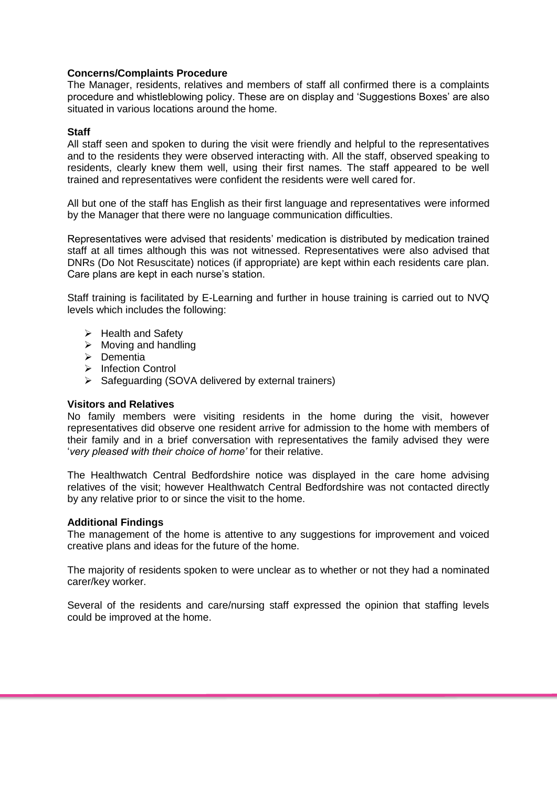#### **Concerns/Complaints Procedure**

The Manager, residents, relatives and members of staff all confirmed there is a complaints procedure and whistleblowing policy. These are on display and 'Suggestions Boxes' are also situated in various locations around the home.

#### **Staff**

All staff seen and spoken to during the visit were friendly and helpful to the representatives and to the residents they were observed interacting with. All the staff, observed speaking to residents, clearly knew them well, using their first names. The staff appeared to be well trained and representatives were confident the residents were well cared for.

All but one of the staff has English as their first language and representatives were informed by the Manager that there were no language communication difficulties.

Representatives were advised that residents' medication is distributed by medication trained staff at all times although this was not witnessed. Representatives were also advised that DNRs (Do Not Resuscitate) notices (if appropriate) are kept within each residents care plan. Care plans are kept in each nurse's station.

Staff training is facilitated by E-Learning and further in house training is carried out to NVQ levels which includes the following:

- $\triangleright$  Health and Safety
- $\triangleright$  Moving and handling
- $\triangleright$  Dementia
- > Infection Control
- $\triangleright$  Safeguarding (SOVA delivered by external trainers)

#### **Visitors and Relatives**

No family members were visiting residents in the home during the visit, however representatives did observe one resident arrive for admission to the home with members of their family and in a brief conversation with representatives the family advised they were '*very pleased with their choice of home'* for their relative.

The Healthwatch Central Bedfordshire notice was displayed in the care home advising relatives of the visit; however Healthwatch Central Bedfordshire was not contacted directly by any relative prior to or since the visit to the home.

#### **Additional Findings**

The management of the home is attentive to any suggestions for improvement and voiced creative plans and ideas for the future of the home.

The majority of residents spoken to were unclear as to whether or not they had a nominated carer/key worker.

Several of the residents and care/nursing staff expressed the opinion that staffing levels could be improved at the home.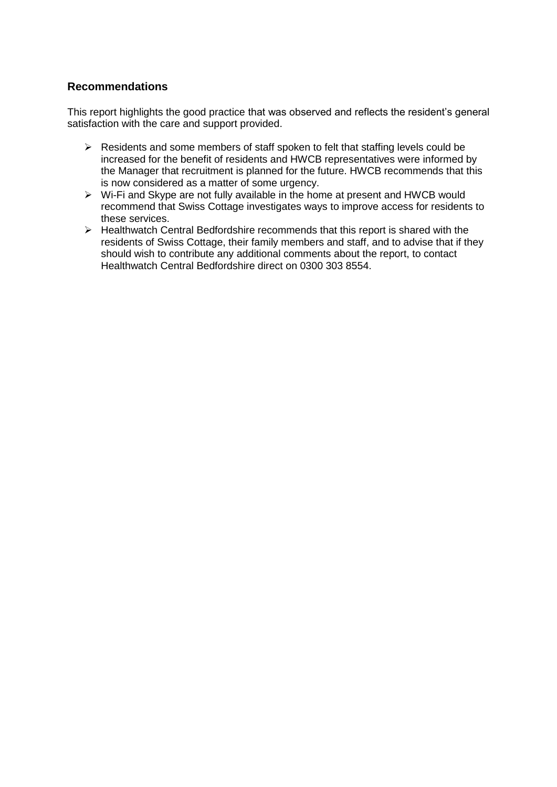# **Recommendations**

This report highlights the good practice that was observed and reflects the resident's general satisfaction with the care and support provided.

- $\triangleright$  Residents and some members of staff spoken to felt that staffing levels could be increased for the benefit of residents and HWCB representatives were informed by the Manager that recruitment is planned for the future. HWCB recommends that this is now considered as a matter of some urgency.
- $\triangleright$  Wi-Fi and Skype are not fully available in the home at present and HWCB would recommend that Swiss Cottage investigates ways to improve access for residents to these services.
- $\triangleright$  Healthwatch Central Bedfordshire recommends that this report is shared with the residents of Swiss Cottage, their family members and staff, and to advise that if they should wish to contribute any additional comments about the report, to contact Healthwatch Central Bedfordshire direct on 0300 303 8554.